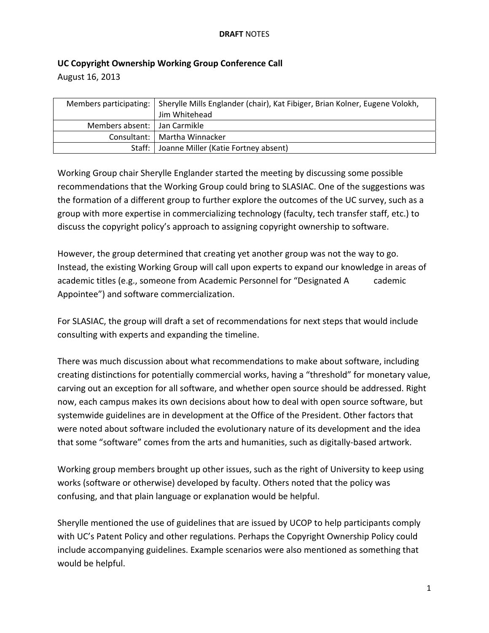## **UC Copyright Ownership Working Group Conference Call**

August 16, 2013

|                                | Members participating:   Sherylle Mills Englander (chair), Kat Fibiger, Brian Kolner, Eugene Volokh,<br>Jim Whitehead |
|--------------------------------|-----------------------------------------------------------------------------------------------------------------------|
| Members absent:   Jan Carmikle |                                                                                                                       |
|                                | Consultant:   Martha Winnacker                                                                                        |
|                                | Staff:   Joanne Miller (Katie Fortney absent)                                                                         |

Working Group chair Sherylle Englander started the meeting by discussing some possible recommendations that the Working Group could bring to SLASIAC. One of the suggestions was the formation of a different group to further explore the outcomes of the UC survey, such as a group with more expertise in commercializing technology (faculty, tech transfer staff, etc.) to discuss the copyright policy's approach to assigning copyright ownership to software.

However, the group determined that creating yet another group was not the way to go. Instead, the existing Working Group will call upon experts to expand our knowledge in areas of academic titles (e.g., someone from Academic Personnel for "Designated A cademic Appointee") and software commercialization.

For SLASIAC, the group will draft a set of recommendations for next steps that would include consulting with experts and expanding the timeline.

There was much discussion about what recommendations to make about software, including creating distinctions for potentially commercial works, having a "threshold" for monetary value, carving out an exception for all software, and whether open source should be addressed. Right now, each campus makes its own decisions about how to deal with open source software, but systemwide guidelines are in development at the Office of the President. Other factors that were noted about software included the evolutionary nature of its development and the idea that some "software" comes from the arts and humanities, such as digitally‐based artwork.

Working group members brought up other issues, such as the right of University to keep using works (software or otherwise) developed by faculty. Others noted that the policy was confusing, and that plain language or explanation would be helpful.

Sherylle mentioned the use of guidelines that are issued by UCOP to help participants comply with UC's Patent Policy and other regulations. Perhaps the Copyright Ownership Policy could include accompanying guidelines. Example scenarios were also mentioned as something that would be helpful.